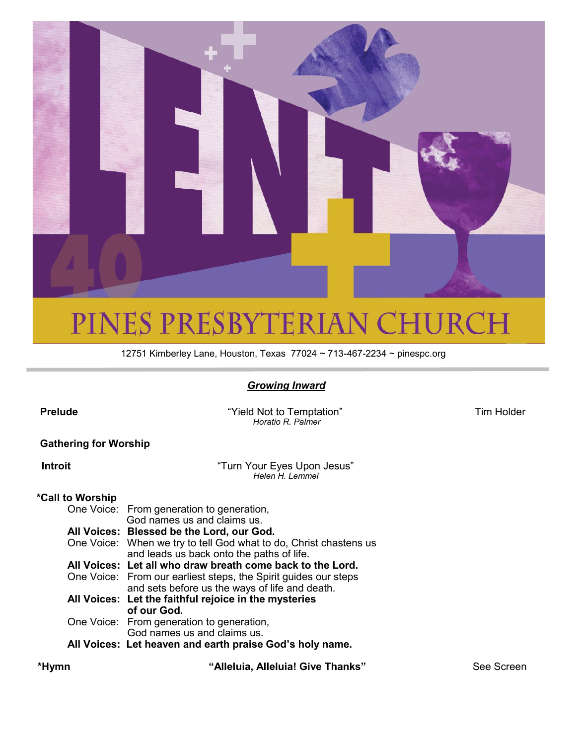

## PINES PRESBYTERIAN CHURCH

12751 Kimberley Lane, Houston, Texas 77024 ~ 713-467-2234 ~ pinespc.org

#### *Growing Inward*

**Prelude** Tim Holder **Contract Contract Contract Contract Contract Contract Contract Contract Contract Contract Contract Contract Contract Contract Contract Contract Contract Contract Contract Contract Contract Contract Co** 

|                              | Horatio R. Palmer                                                                                                 |  |  |  |  |  |  |
|------------------------------|-------------------------------------------------------------------------------------------------------------------|--|--|--|--|--|--|
| <b>Gathering for Worship</b> |                                                                                                                   |  |  |  |  |  |  |
| Introit                      | "Turn Your Eyes Upon Jesus"<br>Helen H. Lemmel                                                                    |  |  |  |  |  |  |
| *Call to Worship             |                                                                                                                   |  |  |  |  |  |  |
|                              | One Voice: From generation to generation,<br>God names us and claims us.                                          |  |  |  |  |  |  |
|                              | All Voices: Blessed be the Lord, our God.                                                                         |  |  |  |  |  |  |
|                              | One Voice: When we try to tell God what to do, Christ chastens us<br>and leads us back onto the paths of life.    |  |  |  |  |  |  |
|                              | All Voices: Let all who draw breath come back to the Lord.                                                        |  |  |  |  |  |  |
|                              | One Voice: From our earliest steps, the Spirit guides our steps<br>and sets before us the ways of life and death. |  |  |  |  |  |  |
|                              | All Voices: Let the faithful rejoice in the mysteries<br>of our God.                                              |  |  |  |  |  |  |
|                              | One Voice: From generation to generation,<br>God names us and claims us.                                          |  |  |  |  |  |  |
|                              | All Voices: Let heaven and earth praise God's holy name.                                                          |  |  |  |  |  |  |

 **\*Hymn "Alleluia, Alleluia! Give Thanks"** See Screen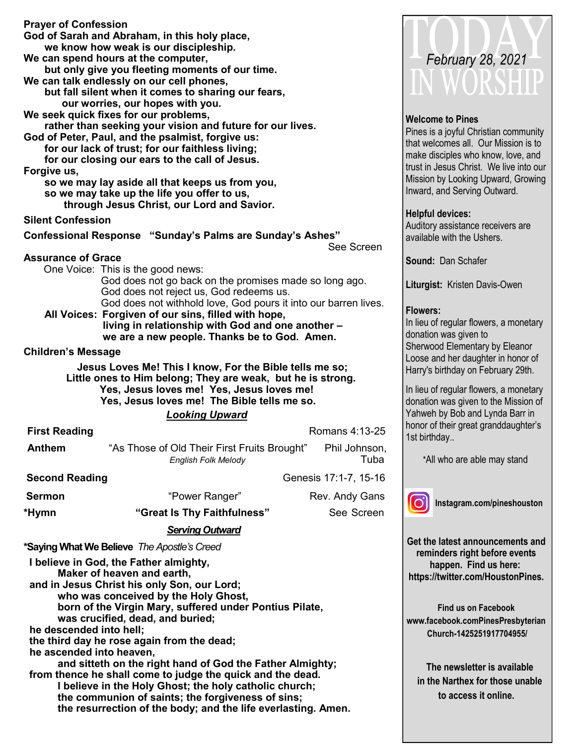| <b>Prayer of Confession</b><br>Forgive us,                                                                                                                                                                                                                                                                                                                                         | God of Sarah and Abraham, in this holy place,<br>we know how weak is our discipleship.<br>We can spend hours at the computer,<br>but only give you fleeting moments of our time.<br>We can talk endlessly on our cell phones,<br>but fall silent when it comes to sharing our fears,<br>our worries, our hopes with you.<br>We seek quick fixes for our problems,<br>rather than seeking your vision and future for our lives.<br>God of Peter, Paul, and the psalmist, forgive us:<br>for our lack of trust; for our faithless living;<br>for our closing our ears to the call of Jesus.<br>so we may lay aside all that keeps us from you,<br>so we may take up the life you offer to us,<br>through Jesus Christ, our Lord and Savior. |  |                       |  |  |
|------------------------------------------------------------------------------------------------------------------------------------------------------------------------------------------------------------------------------------------------------------------------------------------------------------------------------------------------------------------------------------|-------------------------------------------------------------------------------------------------------------------------------------------------------------------------------------------------------------------------------------------------------------------------------------------------------------------------------------------------------------------------------------------------------------------------------------------------------------------------------------------------------------------------------------------------------------------------------------------------------------------------------------------------------------------------------------------------------------------------------------------|--|-----------------------|--|--|
| <b>Silent Confession</b>                                                                                                                                                                                                                                                                                                                                                           |                                                                                                                                                                                                                                                                                                                                                                                                                                                                                                                                                                                                                                                                                                                                           |  |                       |  |  |
|                                                                                                                                                                                                                                                                                                                                                                                    | Confessional Response "Sunday's Palms are Sunday's Ashes"                                                                                                                                                                                                                                                                                                                                                                                                                                                                                                                                                                                                                                                                                 |  |                       |  |  |
|                                                                                                                                                                                                                                                                                                                                                                                    |                                                                                                                                                                                                                                                                                                                                                                                                                                                                                                                                                                                                                                                                                                                                           |  | See Screen            |  |  |
| <b>Assurance of Grace</b><br>Children's Message                                                                                                                                                                                                                                                                                                                                    | One Voice: This is the good news:<br>God does not go back on the promises made so long ago.<br>God does not reject us, God redeems us.<br>God does not withhold love, God pours it into our barren lives.<br>All Voices: Forgiven of our sins, filled with hope,<br>living in relationship with God and one another -<br>we are a new people. Thanks be to God. Amen.<br>Jesus Loves Me! This I know, For the Bible tells me so;<br>Little ones to Him belong; They are weak, but he is strong.                                                                                                                                                                                                                                           |  |                       |  |  |
|                                                                                                                                                                                                                                                                                                                                                                                    | Yes, Jesus loves me! Yes, Jesus loves me!                                                                                                                                                                                                                                                                                                                                                                                                                                                                                                                                                                                                                                                                                                 |  |                       |  |  |
|                                                                                                                                                                                                                                                                                                                                                                                    | Yes, Jesus loves me! The Bible tells me so.                                                                                                                                                                                                                                                                                                                                                                                                                                                                                                                                                                                                                                                                                               |  |                       |  |  |
|                                                                                                                                                                                                                                                                                                                                                                                    | <b>Looking Upward</b>                                                                                                                                                                                                                                                                                                                                                                                                                                                                                                                                                                                                                                                                                                                     |  |                       |  |  |
| <b>First Reading</b>                                                                                                                                                                                                                                                                                                                                                               |                                                                                                                                                                                                                                                                                                                                                                                                                                                                                                                                                                                                                                                                                                                                           |  | Romans 4:13-25        |  |  |
| <b>Anthem</b>                                                                                                                                                                                                                                                                                                                                                                      | "As Those of Old Their First Fruits Brought" Phil Johnson,<br><b>English Folk Melody</b>                                                                                                                                                                                                                                                                                                                                                                                                                                                                                                                                                                                                                                                  |  | Tuba                  |  |  |
| <b>Second Reading</b>                                                                                                                                                                                                                                                                                                                                                              |                                                                                                                                                                                                                                                                                                                                                                                                                                                                                                                                                                                                                                                                                                                                           |  | Genesis 17:1-7, 15-16 |  |  |
| <b>Sermon</b>                                                                                                                                                                                                                                                                                                                                                                      | "Power Ranger"                                                                                                                                                                                                                                                                                                                                                                                                                                                                                                                                                                                                                                                                                                                            |  | Rev. Andy Gans        |  |  |
| *Hymn                                                                                                                                                                                                                                                                                                                                                                              | "Great Is Thy Faithfulness"                                                                                                                                                                                                                                                                                                                                                                                                                                                                                                                                                                                                                                                                                                               |  | See Screen            |  |  |
|                                                                                                                                                                                                                                                                                                                                                                                    | <b>Serving Outward</b>                                                                                                                                                                                                                                                                                                                                                                                                                                                                                                                                                                                                                                                                                                                    |  |                       |  |  |
|                                                                                                                                                                                                                                                                                                                                                                                    |                                                                                                                                                                                                                                                                                                                                                                                                                                                                                                                                                                                                                                                                                                                                           |  |                       |  |  |
| *Saying What We Believe The Apostle's Creed<br>I believe in God, the Father almighty,<br>Maker of heaven and earth,<br>and in Jesus Christ his only Son, our Lord;<br>who was conceived by the Holy Ghost,<br>born of the Virgin Mary, suffered under Pontius Pilate,<br>was crucified, dead, and buried;<br>he descended into hell;<br>the third day he rose again from the dead; |                                                                                                                                                                                                                                                                                                                                                                                                                                                                                                                                                                                                                                                                                                                                           |  |                       |  |  |
| he ascended into heaven,<br>and sitteth on the right hand of God the Father Almighty;<br>from thence he shall come to judge the quick and the dead.<br>I believe in the Holy Ghost; the holy catholic church;<br>the communion of saints; the forgiveness of sins;                                                                                                                 |                                                                                                                                                                                                                                                                                                                                                                                                                                                                                                                                                                                                                                                                                                                                           |  |                       |  |  |

**the resurrection of the body; and the life everlasting. Amen.**



#### **Welcome to Pines**

Pines is a joyful Christian community that welcomes all. Our Mission is to make disciples who know, love, and rust in Jesus Christ. We live into our Mission by Looking Upward, Growing nward, and Serving Outward.

#### **Helpful devices:**

Auditory assistance receivers are available with the Ushers.

**Sound:** Dan Schafer

**Liturgist:** Kristen Davis-Owen

#### **Flowers:**

n lieu of regular flowers, a monetary donation was given to Sherwood Elementary by Eleanor Loose and her daughter in honor of Harry's birthday on February 29th.

n lieu of regular flowers, a monetary donation was given to the Mission of Yahweh by Bob and Lynda Barr in honor of their great granddaughter's 1st birthday..

\*All who are able may stand

**Instagram.com/pineshouston**

**Get the latest announcements and reminders right before events happen. Find us here: https://twitter.com/HoustonPines.** 

**Find us on Facebook www.facebook.comPinesPresbyterian Church-1425251917704955/**

 **The newsletter is available in the Narthex for those unable to access it online.**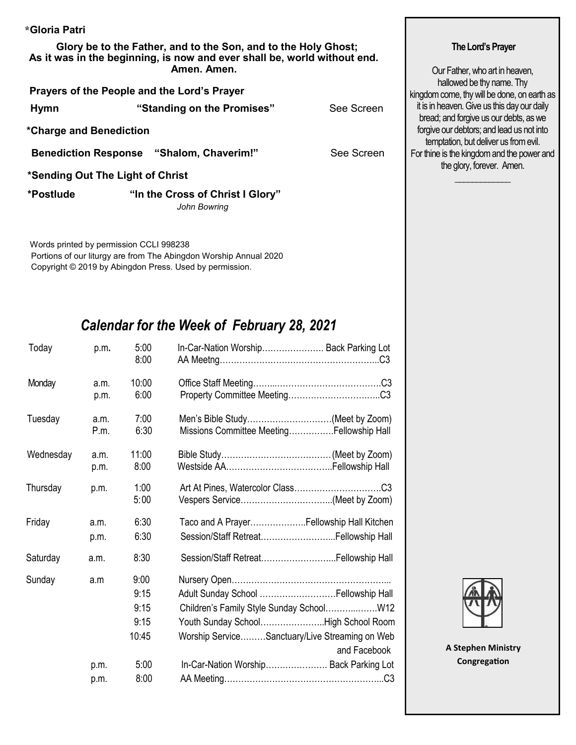| *Gloria Patri                                                                                                                              |                                                                                                            |  |
|--------------------------------------------------------------------------------------------------------------------------------------------|------------------------------------------------------------------------------------------------------------|--|
| Glory be to the Father, and to the Son, and to the Holy Ghost;<br>As it was in the beginning, is now and ever shall be, world without end. | The Lord's Prayer                                                                                          |  |
| Amen. Amen.                                                                                                                                | Our Father, who art in heaven,<br>hallowed be thy name. Thy<br>kingdom come, thy will be done, on earth as |  |
| Prayers of the People and the Lord's Prayer                                                                                                |                                                                                                            |  |
| "Standing on the Promises"<br>See Screen<br><b>Hymn</b>                                                                                    | it is in heaven. Give us this day our daily<br>bread; and forgive us our debts, as we                      |  |
| *Charge and Benediction                                                                                                                    | forgive our debtors; and lead us not into<br>temptation, but deliver us from evil.                         |  |
| <b>Benediction Response "Shalom, Chaverim!"</b><br>See Screen                                                                              | For thine is the kingdom and the power and                                                                 |  |
| *Sending Out The Light of Christ                                                                                                           | the glory, forever. Amen.                                                                                  |  |
| *Postlude<br>"In the Cross of Christ I Glory"<br>John Bowring                                                                              |                                                                                                            |  |

 Words printed by permission CCLI 998238 Portions of our liturgy are from The Abingdon Worship Annual 2020 Copyright © 2019 by Abingdon Press. Used by permission.

### *Calendar for the Week of February 28, 2021*

| Today     | p.m.         | 5:00<br>8:00  | In-Car-Nation Worship Back Parking Lot                                       |
|-----------|--------------|---------------|------------------------------------------------------------------------------|
| Monday    | a.m.<br>p.m. | 10:00<br>6:00 |                                                                              |
| Tuesday   | a.m.<br>P.m. | 7:00<br>6:30  | Men's Bible Study(Meet by Zoom)<br>Missions Committee MeetingFellowship Hall |
| Wednesday | a.m.<br>p.m. | 11:00<br>8:00 |                                                                              |
| Thursday  | p.m.         | 1:00<br>5:00  |                                                                              |
| Friday    | a.m.         | 6:30          | Taco and A PrayerFellowship Hall Kitchen                                     |
|           | p.m.         | 6:30          | Session/Staff RetreatFellowship Hall                                         |
| Saturday  | a.m.         | 8:30          | Session/Staff Retreat Fellowship Hall                                        |
| Sunday    | a.m          | 9:00          |                                                                              |
|           |              | 9:15          | Adult Sunday School  Fellowship Hall                                         |
|           |              | 9:15          |                                                                              |
|           |              | 9:15          | Youth Sunday SchoolHigh School Room                                          |
|           |              | 10:45         | Worship ServiceSanctuary/Live Streaming on Web<br>and Facebook               |
|           | p.m.         | 5:00          | In-Car-Nation Worship Back Parking Lot                                       |
|           | p.m.         | 8:00          |                                                                              |
|           |              |               |                                                                              |



**A Stephen Ministry Congregation**